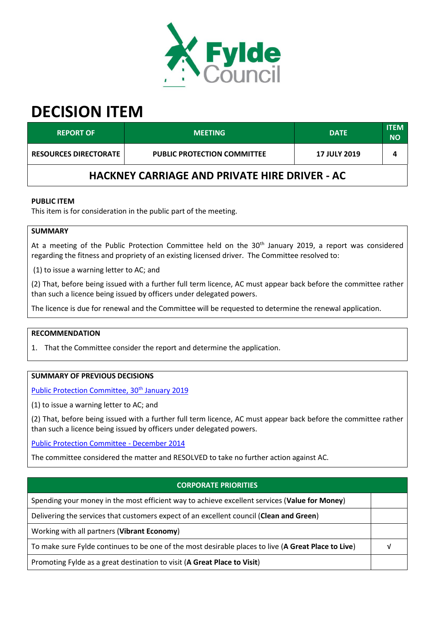

# **DECISION ITEM**

| <b>REPORT OF</b>                                     | <b>MEETING</b>                     | <b>DATE</b>         | <b>ITEM</b><br>NΟ |  |  |  |
|------------------------------------------------------|------------------------------------|---------------------|-------------------|--|--|--|
| <b>RESOURCES DIRECTORATE</b>                         | <b>PUBLIC PROTECTION COMMITTEE</b> | <b>17 JULY 2019</b> |                   |  |  |  |
| <b>HACKNEY CARRIAGE AND PRIVATE HIRE DRIVER - AC</b> |                                    |                     |                   |  |  |  |

## **PUBLIC ITEM**

This item is for consideration in the public part of the meeting.

# **SUMMARY**

At a meeting of the Public Protection Committee held on the 30<sup>th</sup> January 2019, a report was considered regarding the fitness and propriety of an existing licensed driver. The Committee resolved to:

(1) to issue a warning letter to AC; and

(2) That, before being issued with a further full term licence, AC must appear back before the committee rather than such a licence being issued by officers under delegated powers.

The licence is due for renewal and the Committee will be requested to determine the renewal application.

#### **RECOMMENDATION**

1. That the Committee consider the report and determine the application.

# **SUMMARY OF PREVIOUS DECISIONS**

[Public Protection Committee, 30](https://fylde.cmis.uk.com/fylde/MeetingsCalendar/tabid/70/ctl/ViewMeetingPublic/mid/397/Meeting/1080/Committee/26/Default.aspx)<sup>th</sup> January 2019

(1) to issue a warning letter to AC; and

(2) That, before being issued with a further full term licence, AC must appear back before the committee rather than such a licence being issued by officers under delegated powers.

[Public Protection Committee -](https://fylde.cmis.uk.com/Fylde/MeetingsCalendar/tabid/70/ctl/ViewMeetingPublic/mid/397/Meeting/178/Committee/35/Default.aspx) December 2014

The committee considered the matter and RESOLVED to take no further action against AC.

| <b>CORPORATE PRIORITIES</b>                                                                         |  |  |
|-----------------------------------------------------------------------------------------------------|--|--|
| Spending your money in the most efficient way to achieve excellent services (Value for Money)       |  |  |
| Delivering the services that customers expect of an excellent council (Clean and Green)             |  |  |
| Working with all partners (Vibrant Economy)                                                         |  |  |
| To make sure Fylde continues to be one of the most desirable places to live (A Great Place to Live) |  |  |
| Promoting Fylde as a great destination to visit (A Great Place to Visit)                            |  |  |